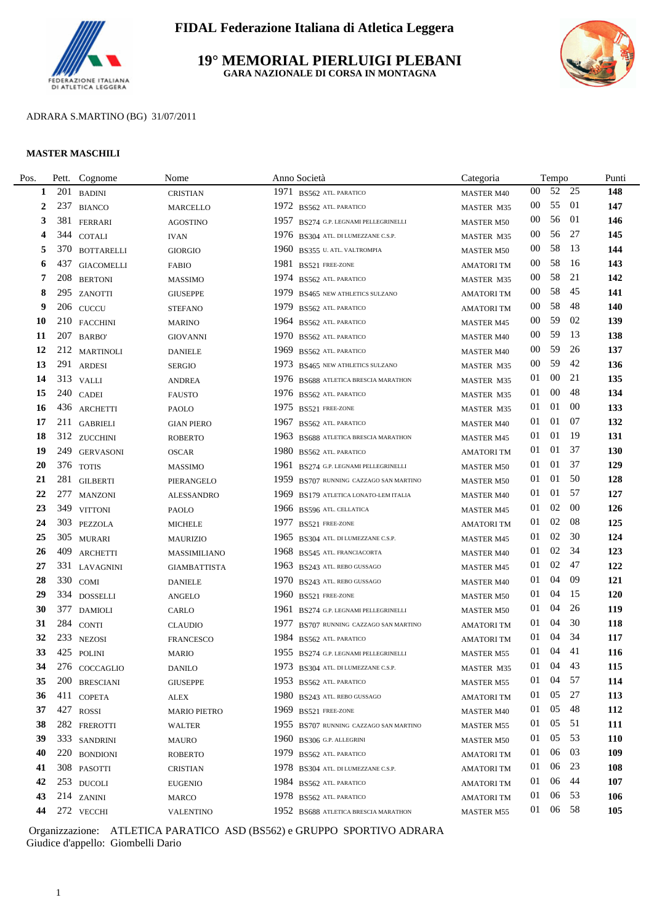

#### **19° MEMORIAL PIERLUIGI PLEBANI GARA NAZIONALE DI CORSA IN MONTAGNA**



### ADRARA S.MARTINO (BG) 31/07/2011

#### **MASTER MASCHILI**

L.

| Pos. | Pett. | Cognome           | Nome                    | Anno Società                              | Categoria         |        | Tempo    |        | Punti      |
|------|-------|-------------------|-------------------------|-------------------------------------------|-------------------|--------|----------|--------|------------|
| 1    | 201   | <b>BADINI</b>     | <b>CRISTIAN</b>         | 1971<br>BS562 ATL PARATICO                | <b>MASTER M40</b> | 00     | 52 25    |        | 148        |
| 2    |       | 237 BIANCO        | <b>MARCELLO</b>         | 1972 BS562 ATL. PARATICO                  | MASTER M35        | 00     | 55 01    |        | 147        |
| 3    |       | 381 FERRARI       | <b>AGOSTINO</b>         | 1957 BS274 G.P. LEGNAMI PELLEGRINELLI     | <b>MASTER M50</b> | 00     | 56       | 01     | 146        |
| 4    | 344   | <b>COTALI</b>     | <b>IVAN</b>             | 1976 BS304 ATL. DI LUMEZZANE C.S.P.       | MASTER M35        | 00     | 56       | 27     | 145        |
| 5    | 370   | <b>BOTTARELLI</b> | <b>GIORGIO</b>          | 1960 BS355 U. ATL. VALTROMPIA             | <b>MASTER M50</b> | 00     | 58       | -13    | 144        |
| 6    | 437   | <b>GIACOMELLI</b> | <b>FABIO</b>            | 1981 BS521 FREE-ZONE                      | <b>AMATORITM</b>  | 00     | 58       | -16    | 143        |
| 7    | 208   | <b>BERTONI</b>    | <b>MASSIMO</b>          | 1974 BS562 ATL PARATICO                   | MASTER M35        | $00\,$ | 58       | 21     | 142        |
| 8    |       | 295 ZANOTTI       | <b>GIUSEPPE</b>         | 1979<br>BS465 NEW ATHLETICS SULZANO       | <b>AMATORITM</b>  | 00     | 58       | 45     | 141        |
| 9    |       | 206 CUCCU         | <b>STEFANO</b>          | 1979 BS562 ATL PARATICO                   | <b>AMATORITM</b>  | $00\,$ | 58       | 48     | 140        |
| 10   |       | 210 FACCHINI      | <b>MARINO</b>           | 1964 BS562 ATL. PARATICO                  | <b>MASTER M45</b> | $00\,$ | 59       | 02     | 139        |
| 11   |       | 207 BARBO'        | <b>GIOVANNI</b>         | 1970 BS562 ATL PARATICO                   | <b>MASTER M40</b> | 00     | 59       | -13    | 138        |
| 12   |       | 212 MARTINOLI     | <b>DANIELE</b>          | 1969 BS562 ATL. PARATICO                  | <b>MASTER M40</b> | $00\,$ | 59       | 26     | 137        |
| 13   |       | 291 ARDESI        | <b>SERGIO</b>           | 1973 BS465 NEW ATHLETICS SULZANO          | MASTER M35        | 00     | 59       | 42     | 136        |
| 14   |       | 313 VALLI         | <b>ANDREA</b>           | 1976 BS688 ATLETICA BRESCIA MARATHON      | MASTER M35        | 01     | $00\,$   | 21     | 135        |
| 15   |       | 240 CADEI         | <b>FAUSTO</b>           | 1976 BS562 ATL PARATICO                   | MASTER M35        | 01     | $00\,$   | 48     | 134        |
| 16   |       | 436 ARCHETTI      | PAOLO                   | 1975 BS521 FREE-ZONE                      | MASTER M35        | 01     | 01       | -00    | 133        |
| 17   |       | 211 GABRIELI      | <b>GIAN PIERO</b>       | 1967<br>BS562 ATL PARATICO                | <b>MASTER M40</b> | 01     | 01       | 07     | 132        |
| 18   |       | 312 ZUCCHINI      | <b>ROBERTO</b>          | 1963 BS688 ATLETICA BRESCIA MARATHON      | <b>MASTER M45</b> | 01     | 01       | -19    | 131        |
| 19   | 249   | <b>GERVASONI</b>  | <b>OSCAR</b>            | 1980 BS562 ATL. PARATICO                  | <b>AMATORITM</b>  | 01     | 01       | 37     | 130        |
| 20   |       | 376 TOTIS         | <b>MASSIMO</b>          | 1961 BS274 G.P. LEGNAMI PELLEGRINELLI     | <b>MASTER M50</b> | 01     | 01       | 37     | 129        |
| 21   |       | 281 GILBERTI      | PIERANGELO              | 1959 BS707 RUNNING CAZZAGO SAN MARTINO    | <b>MASTER M50</b> | 01     | 01       | 50     | 128        |
| 22   |       | 277 MANZONI       | <b>ALESSANDRO</b>       | 1969<br>BS179 ATLETICA LONATO-LEM ITALIA  | <b>MASTER M40</b> | 01     | 01 57    |        | 127        |
| 23   |       | 349 VITTONI       | PAOLO                   | 1966 BS596 ATL CELLATICA                  | <b>MASTER M45</b> | 01     | 02       | $00\,$ | 126        |
| 24   |       | 303 PEZZOLA       | <b>MICHELE</b>          | 1977<br>BS521 FREE-ZONE                   | <b>AMATORI TM</b> | 01     | 02       | 08     | 125        |
| 25   |       | 305 MURARI        | <b>MAURIZIO</b>         | 1965 BS304 ATL. DI LUMEZZANE C.S.P.       | <b>MASTER M45</b> | 01     | 02       | 30     | 124        |
| 26   |       | 409 ARCHETTI      | MASSIMILIANO            | 1968 BS545 ATL. FRANCIACORTA              | <b>MASTER M40</b> | 01     | 02       | 34     | 123        |
| 27   |       | 331 LAVAGNINI     | <b>GIAMBATTISTA</b>     | 1963 BS243 ATL. REBO GUSSAGO              | <b>MASTER M45</b> | 01     | 02       | 47     | 122        |
| 28   |       | 330 COMI          | <b>DANIELE</b>          | 1970 BS243 ATL. REBO GUSSAGO              | <b>MASTER M40</b> | 01     | 04       | 09     | 121        |
| 29   |       | 334 DOSSELLI      | <b>ANGELO</b>           | 1960 BS521 FREE-ZONE                      | <b>MASTER M50</b> | 01     | 04       | -15    | 120        |
| 30   |       | 377 DAMIOLI       | CARLO                   | 1961 BS274 G.P. LEGNAMI PELLEGRINELLI     | <b>MASTER M50</b> | 01     | 04       | 26     | 119        |
| 31   |       | 284 CONTI         | <b>CLAUDIO</b>          | 1977<br>BS707 RUNNING CAZZAGO SAN MARTINO | <b>AMATORITM</b>  | 01     | 04       | 30     | 118        |
| 32   |       | 233 NEZOSI        | <b>FRANCESCO</b>        | 1984 BS562 ATL PARATICO                   | <b>AMATORITM</b>  | 01     | 04       | 34     | 117        |
| 33   |       | 425 POLINI        | <b>MARIO</b>            | 1955 BS274 G.P. LEGNAMI PELLEGRINELLI     | <b>MASTER M55</b> | 01     | 04       | -41    | 116        |
| 34   |       | 276 COCCAGLIO     | $\operatorname{DANILO}$ | 1973 BS304 ATL. DI LUMEZZANE C.S.P.       | MASTER M35        |        | 01 04 43 |        | 115        |
| 35   |       | 200 BRESCIANI     | <b>GIUSEPPE</b>         | 1953 BS562 ATL PARATICO                   | MASTER M55        | 01     | 04 57    |        | 114        |
| 36   |       | 411 COPETA        | ALEX                    | 1980 BS243 ATL. REBO GUSSAGO              | <b>AMATORI TM</b> | 01     | 05       | - 27   | 113        |
| 37   |       | 427 ROSSI         | <b>MARIO PIETRO</b>     | 1969 BS521 FREE-ZONE                      | <b>MASTER M40</b> | 01     | 05       | -48    | 112        |
| 38   |       | 282 FREROTTI      | <b>WALTER</b>           | 1955 BS707 RUNNING CAZZAGO SAN MARTINO    | <b>MASTER M55</b> | 01     | 05 51    |        | 111        |
| 39   |       | 333 SANDRINI      | MAURO                   | 1960 BS306 G.P. ALLEGRINI                 | <b>MASTER M50</b> | 01     | 05       | - 53   | <b>110</b> |
| 40   |       | 220 BONDIONI      | <b>ROBERTO</b>          | 1979 BS562 ATL PARATICO                   | AMATORI TM        | 01     | 06       | 03     | 109        |
| 41   |       | 308 PASOTTI       | <b>CRISTIAN</b>         | 1978 BS304 ATL. DI LUMEZZANE C.S.P.       | <b>AMATORITM</b>  | 01     | 06       | 23     | 108        |
| 42   |       | 253 DUCOLI        | <b>EUGENIO</b>          | 1984 BS562 ATL. PARATICO                  | <b>AMATORI TM</b> | 01     | 06       | 44     | 107        |
| 43   |       | 214 ZANINI        | <b>MARCO</b>            | 1978 BS562 ATL. PARATICO                  | <b>AMATORITM</b>  | 01     | 06       | - 53   | 106        |
| 44   |       | 272 VECCHI        | <b>VALENTINO</b>        | 1952 BS688 ATLETICA BRESCIA MARATHON      | <b>MASTER M55</b> |        | 01 06 58 |        | 105        |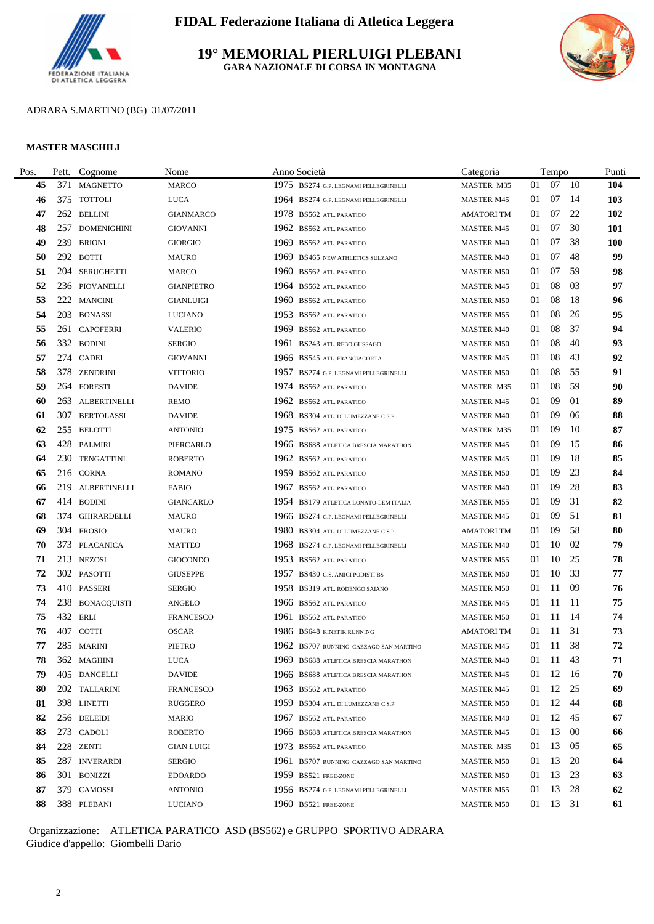

**19° MEMORIAL PIERLUIGI PLEBANI GARA NAZIONALE DI CORSA IN MONTAGNA**



## ADRARA S.MARTINO (BG) 31/07/2011

#### **MASTER MASCHILI**

L.

| Pos. | Pett. | Cognome          | Nome              | Anno Società                           | Categoria         |    | Tempo    |     | Punti      |
|------|-------|------------------|-------------------|----------------------------------------|-------------------|----|----------|-----|------------|
| 45   | 371   | <b>MAGNETTO</b>  | <b>MARCO</b>      | 1975 BS274 G.P. LEGNAMI PELLEGRINELLI  | MASTER M35        | 01 | 07 10    |     | 104        |
| 46   |       | 375 TOTTOLI      | <b>LUCA</b>       | 1964 BS274 G.P. LEGNAMI PELLEGRINELLI  | <b>MASTER M45</b> | 01 | 07 14    |     | 103        |
| 47   |       | 262 BELLINI      | <b>GIANMARCO</b>  | 1978 BS562 ATL. PARATICO               | <b>AMATORI TM</b> | 01 | 07       | 22  | 102        |
| 48   |       | 257 DOMENIGHINI  | <b>GIOVANNI</b>   | 1962 BS562 ATL. PARATICO               | <b>MASTER M45</b> | 01 | 07       | 30  | <b>101</b> |
| 49   |       | 239 BRIONI       | <b>GIORGIO</b>    | 1969 BS562 ATL. PARATICO               | <b>MASTER M40</b> | 01 | 07       | 38  | <b>100</b> |
| 50   |       | 292 BOTTI        | <b>MAURO</b>      | 1969 BS465 NEW ATHLETICS SULZANO       | <b>MASTER M40</b> | 01 | 07       | 48  | 99         |
| 51   |       | 204 SERUGHETTI   | <b>MARCO</b>      | 1960 BS562 ATL PARATICO                | <b>MASTER M50</b> | 01 | 07       | 59  | 98         |
| 52   |       | 236 PIOVANELLI   | <b>GIANPIETRO</b> | 1964 BS562 ATL PARATICO                | <b>MASTER M45</b> | 01 | 08       | 03  | 97         |
| 53   |       | 222 MANCINI      | <b>GIANLUIGI</b>  | 1960 BS562 ATL. PARATICO               | <b>MASTER M50</b> | 01 | 08       | -18 | 96         |
| 54   |       | 203 BONASSI      | LUCIANO           | 1953 BS562 ATL. PARATICO               | <b>MASTER M55</b> | 01 | 08       | 26  | 95         |
| 55   |       | 261 CAPOFERRI    | <b>VALERIO</b>    | 1969 BS562 ATL. PARATICO               | <b>MASTER M40</b> | 01 | 08       | -37 | 94         |
| 56   | 332   | <b>BODINI</b>    | <b>SERGIO</b>     | 1961 BS243 ATL. REBO GUSSAGO           | <b>MASTER M50</b> | 01 | 08       | 40  | 93         |
| 57   |       | 274 CADEI        | <b>GIOVANNI</b>   | 1966 BS545 ATL. FRANCIACORTA           | <b>MASTER M45</b> | 01 | 08       | 43  | 92         |
| 58   |       | 378 ZENDRINI     | <b>VITTORIO</b>   | 1957 BS274 G.P. LEGNAMI PELLEGRINELLI  | <b>MASTER M50</b> | 01 | 08       | 55  | 91         |
| 59   |       | 264 FORESTI      | <b>DAVIDE</b>     | 1974 BS562 ATL. PARATICO               | MASTER M35        | 01 | 08       | -59 | 90         |
| 60   |       | 263 ALBERTINELLI | <b>REMO</b>       | 1962 BS562 ATL. PARATICO               | <b>MASTER M45</b> | 01 | 09       | 01  | 89         |
| 61   |       | 307 BERTOLASSI   | <b>DAVIDE</b>     | 1968 BS304 ATL. DI LUMEZZANE C.S.P.    | <b>MASTER M40</b> | 01 | 09       | -06 | 88         |
| 62   |       | 255 BELOTTI      | <b>ANTONIO</b>    | 1975 BS562 ATL. PARATICO               | MASTER M35        | 01 | -09      | -10 | 87         |
| 63   |       | 428 PALMIRI      | PIERCARLO         | 1966 BS688 ATLETICA BRESCIA MARATHON   | <b>MASTER M45</b> | 01 | 09       | 15  | 86         |
| 64   |       | 230 TENGATTINI   | <b>ROBERTO</b>    | 1962 BS562 ATL. PARATICO               | <b>MASTER M45</b> | 01 | 09       | 18  | 85         |
| 65   |       | 216 CORNA        | <b>ROMANO</b>     | 1959 BS562 ATL. PARATICO               | <b>MASTER M50</b> | 01 | 09       | 23  | 84         |
| 66   |       | 219 ALBERTINELLI | <b>FABIO</b>      | 1967 BS562 ATL. PARATICO               | <b>MASTER M40</b> | 01 | 09       | 28  | 83         |
| 67   |       | 414 BODINI       | <b>GIANCARLO</b>  | 1954 BS179 ATLETICA LONATO-LEM ITALIA  | <b>MASTER M55</b> | 01 | 09       | 31  | 82         |
| 68   |       | 374 GHIRARDELLI  | <b>MAURO</b>      | 1966 BS274 G.P. LEGNAMI PELLEGRINELLI  | <b>MASTER M45</b> | 01 | 09       | 51  | 81         |
| 69   |       | 304 FROSIO       | <b>MAURO</b>      | 1980 BS304 ATL. DI LUMEZZANE C.S.P.    | <b>AMATORI TM</b> | 01 | 09       | 58  | 80         |
| 70   |       | 373 PLACANICA    | MATTEO            | 1968 BS274 G.P. LEGNAMI PELLEGRINELLI  | <b>MASTER M40</b> | 01 | 10       | 02  | 79         |
| 71   |       | 213 NEZOSI       | <b>GIOCONDO</b>   | 1953 BS562 ATL. PARATICO               | <b>MASTER M55</b> | 01 | 10       | 25  | 78         |
| 72   |       | 302 PASOTTI      | <b>GIUSEPPE</b>   | 1957 BS430 G.S. AMICI PODISTI BS       | <b>MASTER M50</b> | 01 | 10       | 33  | 77         |
| 73   |       | 410 PASSERI      | <b>SERGIO</b>     | 1958 BS319 ATL. RODENGO SAIANO         | <b>MASTER M50</b> | 01 | 11       | 09  | 76         |
| 74   |       | 238 BONACQUISTI  | <b>ANGELO</b>     | 1966 BS562 ATL. PARATICO               | <b>MASTER M45</b> | 01 | 11       | -11 | 75         |
| 75   |       | 432 ERLI         | <b>FRANCESCO</b>  | 1961 BS562 ATL. PARATICO               | <b>MASTER M50</b> | 01 | 11       | -14 | 74         |
| 76   |       | 407 COTTI        | <b>OSCAR</b>      | 1986 BS648 KINETIK RUNNING             | <b>AMATORI TM</b> | 01 | -11      | 31  | 73         |
| 77   |       | 285 MARINI       | <b>PIETRO</b>     | 1962 BS707 RUNNING CAZZAGO SAN MARTINO | <b>MASTER M45</b> | 01 | 11 38    |     | 72         |
| 78   |       | 362 MAGHINI      | LUCA              | 1969 BS688 ATLETICA BRESCIA MARATHON   | <b>MASTER M40</b> |    | 01 11 43 |     | 71         |
| 79   |       | 405 DANCELLI     | DAVIDE            | 1966 BS688 ATLETICA BRESCIA MARATHON   | <b>MASTER M45</b> | 01 | 12 16    |     | 70         |
| 80   |       | 202 TALLARINI    | <b>FRANCESCO</b>  | 1963 BS562 ATL. PARATICO               | <b>MASTER M45</b> | 01 | 12 25    |     | 69         |
| 81   |       | 398 LINETTI      | <b>RUGGERO</b>    | 1959 BS304 ATL. DI LUMEZZANE C.S.P.    | <b>MASTER M50</b> | 01 | 12 44    |     | 68         |
| 82   |       | 256 DELEIDI      | <b>MARIO</b>      | 1967 BS562 ATL. PARATICO               | <b>MASTER M40</b> | 01 | 12 45    |     | 67         |
| 83   |       | 273 CADOLI       | <b>ROBERTO</b>    | 1966 BS688 ATLETICA BRESCIA MARATHON   | <b>MASTER M45</b> | 01 | 13       | -00 | 66         |
| 84   |       | 228 ZENTI        | <b>GIAN LUIGI</b> | 1973 BS562 ATL. PARATICO               | MASTER M35        | 01 | 13       | 05  | 65         |
| 85   |       | 287 INVERARDI    | <b>SERGIO</b>     | 1961 BS707 RUNNING CAZZAGO SAN MARTINO | <b>MASTER M50</b> | 01 | 13       | 20  | 64         |
| 86   |       | 301 BONIZZI      | <b>EDOARDO</b>    | 1959 BS521 FREE-ZONE                   | <b>MASTER M50</b> | 01 | 13       | 23  | 63         |
| 87   |       | 379 CAMOSSI      | <b>ANTONIO</b>    | 1956 BS274 G.P. LEGNAMI PELLEGRINELLI  | <b>MASTER M55</b> | 01 | 13 28    |     | 62         |
| 88   |       | 388 PLEBANI      | <b>LUCIANO</b>    | 1960 BS521 FREE-ZONE                   | <b>MASTER M50</b> |    | 01 13 31 |     | 61         |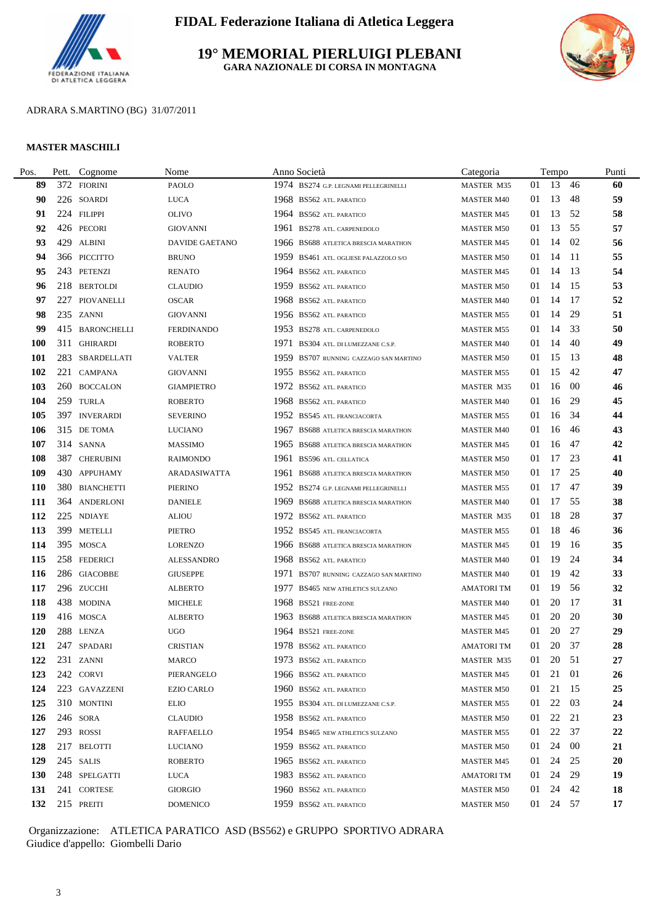

### **19° MEMORIAL PIERLUIGI PLEBANI GARA NAZIONALE DI CORSA IN MONTAGNA**



## ADRARA S.MARTINO (BG) 31/07/2011

#### **MASTER MASCHILI**

L.

| Pos.       | Pett. | Cognome         | Nome                  | Anno Società                           | Categoria         |    | Tempo    |        | Punti |
|------------|-------|-----------------|-----------------------|----------------------------------------|-------------------|----|----------|--------|-------|
| 89         |       | 372 FIORINI     | <b>PAOLO</b>          | 1974 BS274 G.P. LEGNAMI PELLEGRINELLI  | MASTER M35        | 01 | 13       | 46     | 60    |
| 90         |       | 226 SOARDI      | <b>LUCA</b>           | 1968 BS562 ATL. PARATICO               | <b>MASTER M40</b> | 01 | 13       | -48    | 59    |
| 91         |       | 224 FILIPPI     | <b>OLIVO</b>          | 1964 BS562 ATL. PARATICO               | <b>MASTER M45</b> | 01 | 13       | -52    | 58    |
| 92         |       | 426 PECORI      | <b>GIOVANNI</b>       | 1961 BS278 ATL. CARPENEDOLO            | <b>MASTER M50</b> | 01 | 13       | -55    | 57    |
| 93         |       | 429 ALBINI      | <b>DAVIDE GAETANO</b> | 1966 BS688 ATLETICA BRESCIA MARATHON   | <b>MASTER M45</b> | 01 | 14       | 02     | 56    |
| 94         |       | 366 PICCITTO    | <b>BRUNO</b>          | 1959 BS461 ATL. OGLIESE PALAZZOLO S/O  | <b>MASTER M50</b> | 01 | 14       | - 11   | 55    |
| 95         |       | 243 PETENZI     | <b>RENATO</b>         | 1964 BS562 ATL. PARATICO               | <b>MASTER M45</b> | 01 | 14       | -13    | 54    |
| 96         |       | 218 BERTOLDI    | <b>CLAUDIO</b>        | 1959 BS562 ATL. PARATICO               | <b>MASTER M50</b> | 01 | 14       | -15    | 53    |
| 97         |       | 227 PIOVANELLI  | <b>OSCAR</b>          | 1968 BS562 ATL. PARATICO               | <b>MASTER M40</b> | 01 | 14       | -17    | 52    |
| 98         |       | 235 ZANNI       | <b>GIOVANNI</b>       | 1956 BS562 ATL. PARATICO               | <b>MASTER M55</b> | 01 | 14       | 29     | 51    |
| 99         |       | 415 BARONCHELLI | <b>FERDINANDO</b>     | 1953 BS278 ATL. CARPENEDOLO            | <b>MASTER M55</b> | 01 | 14 33    |        | 50    |
| <b>100</b> |       | 311 GHIRARDI    | <b>ROBERTO</b>        | 1971 BS304 ATL. DI LUMEZZANE C.S.P.    | <b>MASTER M40</b> | 01 | 14       | 40     | 49    |
| <b>101</b> |       | 283 SBARDELLATI | <b>VALTER</b>         | 1959 BS707 RUNNING CAZZAGO SAN MARTINO | <b>MASTER M50</b> | 01 | 15       | -13    | 48    |
| 102        |       | 221 CAMPANA     | <b>GIOVANNI</b>       | 1955 BS562 ATL. PARATICO               | <b>MASTER M55</b> | 01 | 15       | 42     | 47    |
| 103        |       | 260 BOCCALON    | <b>GIAMPIETRO</b>     | 1972 BS562 ATL. PARATICO               | <b>MASTER M35</b> | 01 | 16       | 00     | 46    |
| 104        |       | 259 TURLA       | <b>ROBERTO</b>        | 1968 BS562 ATL. PARATICO               | <b>MASTER M40</b> | 01 | 16       | 29     | 45    |
| 105        |       | 397 INVERARDI   | <b>SEVERINO</b>       | 1952 BS545 ATL. FRANCIACORTA           | <b>MASTER M55</b> | 01 | 16       | -34    | 44    |
| 106        |       | 315 DE TOMA     | <b>LUCIANO</b>        | 1967 BS688 ATLETICA BRESCIA MARATHON   | <b>MASTER M40</b> | 01 | 16       | -46    | 43    |
| 107        |       | 314 SANNA       | <b>MASSIMO</b>        | 1965 BS688 ATLETICA BRESCIA MARATHON   | <b>MASTER M45</b> | 01 | 16       | 47     | 42    |
| 108        |       | 387 CHERUBINI   | <b>RAIMONDO</b>       | 1961 BS596 ATL. CELLATICA              | <b>MASTER M50</b> | 01 | 17       | 23     | 41    |
| 109        |       | 430 APPUHAMY    | ARADASIWATTA          | 1961 BS688 ATLETICA BRESCIA MARATHON   | <b>MASTER M50</b> | 01 | 17       | 25     | 40    |
| <b>110</b> |       | 380 BIANCHETTI  | <b>PIERINO</b>        | 1952 BS274 G.P. LEGNAMI PELLEGRINELLI  | <b>MASTER M55</b> | 01 | 17       | 47     | 39    |
| 111        |       | 364 ANDERLONI   | <b>DANIELE</b>        | 1969 BS688 ATLETICA BRESCIA MARATHON   | <b>MASTER M40</b> | 01 | 17       | 55     | 38    |
| 112        |       | 225 NDIAYE      | <b>ALIOU</b>          | 1972 BS562 ATL. PARATICO               | <b>MASTER M35</b> | 01 | 18       | 28     | 37    |
| 113        |       | 399 METELLI     | <b>PIETRO</b>         | 1952 BS545 ATL. FRANCIACORTA           | <b>MASTER M55</b> | 01 | 18       | 46     | 36    |
| 114        |       | 395 MOSCA       | <b>LORENZO</b>        | 1966 BS688 ATLETICA BRESCIA MARATHON   | <b>MASTER M45</b> | 01 | 19       | 16     | 35    |
| 115        |       | 258 FEDERICI    | ALESSANDRO            | 1968 BS562 ATL. PARATICO               | <b>MASTER M40</b> | 01 | 19       | 24     | 34    |
| 116        |       | 286 GIACOBBE    | <b>GIUSEPPE</b>       | 1971 BS707 RUNNING CAZZAGO SAN MARTINO | <b>MASTER M40</b> | 01 | 19       | 42     | 33    |
| 117        |       | 296 ZUCCHI      | <b>ALBERTO</b>        | 1977 BS465 NEW ATHLETICS SULZANO       | <b>AMATORI TM</b> | 01 | 19       | -56    | 32    |
| 118        |       | 438 MODINA      | <b>MICHELE</b>        | 1968 BS521 FREE-ZONE                   | <b>MASTER M40</b> | 01 | 20       | -17    | 31    |
| 119        |       | 416 MOSCA       | <b>ALBERTO</b>        | 1963 BS688 ATLETICA BRESCIA MARATHON   | <b>MASTER M45</b> | 01 | 20       | 20     | 30    |
| <b>120</b> |       | 288 LENZA       | <b>UGO</b>            | 1964 BS521 FREE-ZONE                   | <b>MASTER M45</b> | 01 | 20       | -27    | 29    |
| 121        |       | 247 SPADARI     | <b>CRISTIAN</b>       | 1978 BS562 ATL. PARATICO               | <b>AMATORITM</b>  | 01 | 20 37    |        | 28    |
| 122        |       | 231 ZANNI       | MARCO                 | 1973 BS562 ATL PARATICO                | MASTER M35        |    | 01 20 51 |        | 27    |
| 123        |       | 242 CORVI       | PIERANGELO            | 1966 BS562 ATL. PARATICO               | <b>MASTER M45</b> | 01 | 21 01    |        | 26    |
| 124        |       | 223 GAVAZZENI   | <b>EZIO CARLO</b>     | 1960 BS562 ATL. PARATICO               | <b>MASTER M50</b> | 01 | 21       | - 15   | 25    |
| 125        |       | 310 MONTINI     | <b>ELIO</b>           | 1955 BS304 ATL. DI LUMEZZANE C.S.P.    | <b>MASTER M55</b> | 01 | 22       | 03     | 24    |
| <b>126</b> |       | 246 SORA        | <b>CLAUDIO</b>        | 1958 BS562 ATL. PARATICO               | <b>MASTER M50</b> | 01 | 22 21    |        | 23    |
| 127        |       | 293 ROSSI       | <b>RAFFAELLO</b>      | 1954 BS465 NEW ATHLETICS SULZANO       | <b>MASTER M55</b> | 01 | 22 37    |        | 22    |
| 128        |       | 217 BELOTTI     | LUCIANO               | 1959 BS562 ATL. PARATICO               | <b>MASTER M50</b> | 01 | 24       | $00\,$ | 21    |
| 129        |       | 245 SALIS       | <b>ROBERTO</b>        | 1965 BS562 ATL. PARATICO               | <b>MASTER M45</b> | 01 | 24       | 25     | 20    |
| <b>130</b> |       | 248 SPELGATTI   | LUCA                  | 1983 BS562 ATL PARATICO                | <b>AMATORI TM</b> | 01 | 24       | 29     | 19    |
| 131        |       | 241 CORTESE     | <b>GIORGIO</b>        | 1960 BS562 ATL. PARATICO               | <b>MASTER M50</b> | 01 | 24 42    |        | 18    |
| 132        |       | 215 PREITI      | <b>DOMENICO</b>       | 1959 BS562 ATL. PARATICO               | <b>MASTER M50</b> |    | 01 24 57 |        | 17    |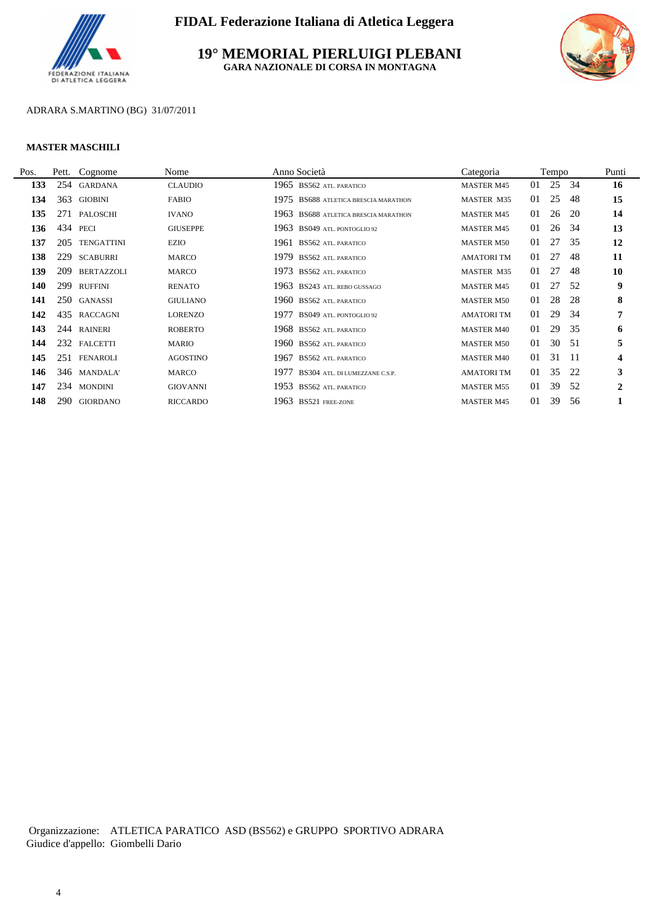

**19° MEMORIAL PIERLUIGI PLEBANI GARA NAZIONALE DI CORSA IN MONTAGNA**



## ADRARA S.MARTINO (BG) 31/07/2011

#### **MASTER MASCHILI**

| Pos. |     | Pett. Cognome     | Nome            | Anno Società                                   | Categoria         |    | Tempo |      | Punti        |
|------|-----|-------------------|-----------------|------------------------------------------------|-------------------|----|-------|------|--------------|
| 133  |     | 254 GARDANA       | <b>CLAUDIO</b>  | 1965 BS562 ATL. PARATICO                       | <b>MASTER M45</b> | 01 | 25    | -34  | <b>16</b>    |
| 134  | 363 | <b>GIOBINI</b>    | <b>FABIO</b>    | 1975 BS688 ATLETICA BRESCIA MARATHON           | MASTER M35        | 01 | 25    | 48   | 15           |
| 135  |     | 271 PALOSCHI      | <b>IVANO</b>    | 1963<br><b>BS688 ATLETICA BRESCIA MARATHON</b> | <b>MASTER M45</b> | 01 | 26    | 20   | 14           |
| 136  | 434 | PECI              | <b>GIUSEPPE</b> | 1963 BS049 ATL PONTOGLIO 92                    | <b>MASTER M45</b> | 01 | 26    | -34  | 13           |
| 137  | 205 | <b>TENGATTINI</b> | EZIO            | 1961 BS562 ATL PARATICO                        | <b>MASTER M50</b> | 01 | 27    | 35   | 12           |
| 138  | 229 | <b>SCABURRI</b>   | MARCO           | 1979<br><b>BS562 ATL. PARATICO</b>             | <b>AMATORI TM</b> | 01 | 27    | 48   | 11           |
| 139  | 209 | BERTAZZOLI        | MARCO           | 1973 BS562 ATL. PARATICO                       | MASTER M35        | 01 | 27    | 48   | 10           |
| 140  |     | 299 RUFFINI       | RENATO          | 1963 BS243 ATL. REBO GUSSAGO                   | <b>MASTER M45</b> | 01 | 27    | .52  | 9            |
| 141  |     | 250 GANASSI       | <b>GIULIANO</b> | 1960 BS562 ATL PARATICO                        | <b>MASTER M50</b> | 01 | 28    | 28   | 8            |
| 142  | 435 | RACCAGNI          | LORENZO         | 1977<br>BS049 ATL. PONTOGLIO 92                | <b>AMATORI TM</b> | 01 | 29    | 34   | 7            |
| 143  |     | 244 RAINERI       | <b>ROBERTO</b>  | 1968 BS562 ATL. PARATICO                       | <b>MASTER M40</b> | 01 | 29    | 35   | 6            |
| 144  |     | 232 FALCETTI      | <b>MARIO</b>    | 1960 BS562 ATL. PARATICO                       | <b>MASTER M50</b> | 01 | 30    | - 51 | 5            |
| 145  | 251 | FENAROLI          | <b>AGOSTINO</b> | 1967<br><b>BS562 ATL PARATICO</b>              | <b>MASTER M40</b> | 01 | 31    | - 11 | 4            |
| 146  |     | 346 MANDALA       | MARCO           | 1977<br>BS304 ATL. DI LUMEZZANE C.S.P.         | <b>AMATORI TM</b> | 01 | 35    | -22  | 3            |
| 147  |     | 234 MONDINI       | <b>GIOVANNI</b> | 1953 BS562 ATL. PARATICO                       | <b>MASTER M55</b> | 01 | 39    | 52   | $\mathbf{2}$ |
| 148  |     | 290 GIORDANO      | <b>RICCARDO</b> | 1963 BS521 FREE-ZONE                           | <b>MASTER M45</b> | 01 | 39    | 56   |              |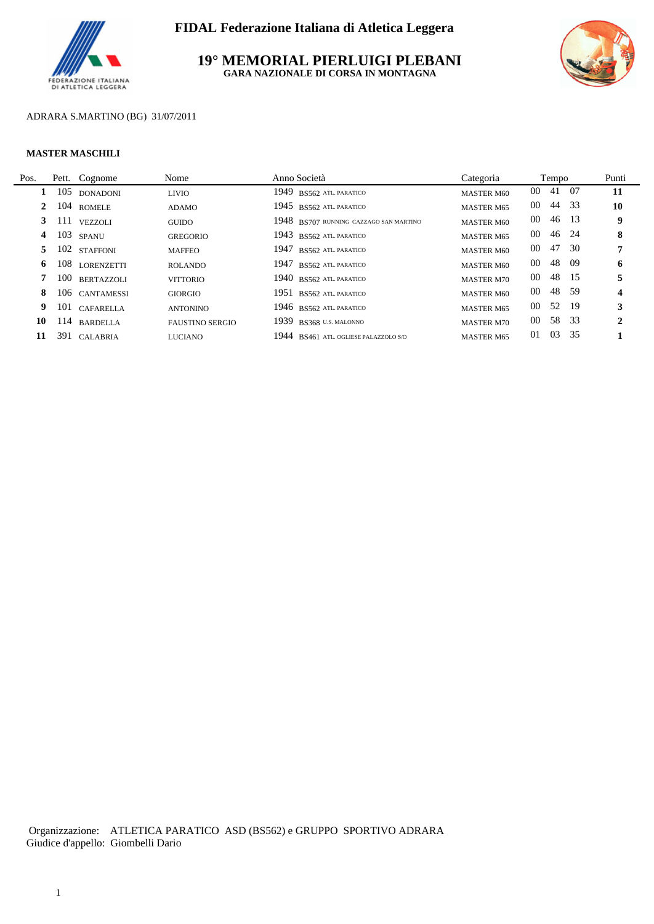

**19° MEMORIAL PIERLUIGI PLEBANI GARA NAZIONALE DI CORSA IN MONTAGNA**



### ADRARA S.MARTINO (BG) 31/07/2011

#### **MASTER MASCHILI**

L.

| Pos. |     | Pett. Cognome     | Nome                   | Anno Società                           | Categoria         |                 | Tempo | Punti |
|------|-----|-------------------|------------------------|----------------------------------------|-------------------|-----------------|-------|-------|
|      |     | 105 DONADONI      | <b>LIVIO</b>           | 1949 BS562 ATL PARATICO                | <b>MASTER M60</b> | 00 <sup>°</sup> | 41 07 | 11    |
| 2    |     | 104 ROMELE        | ADAMO                  | 1945 BS562 ATL PARATICO                | <b>MASTER M65</b> | $00\,$          | 44 33 | 10    |
|      |     | $3$ 111 vezzoli   | <b>GUIDO</b>           | 1948 BS707 RUNNING CAZZAGO SAN MARTINO | <b>MASTER M60</b> | $00\,$          | 46 13 | 9     |
| 4    | 103 | <b>SPANU</b>      | <b>GREGORIO</b>        | 1943 BS562 ATL PARATICO                | <b>MASTER M65</b> | 00 <sup>°</sup> | 46 24 | 8     |
| 5    |     | 102 STAFFONI      | <b>MAFFEO</b>          | 1947 BS562 ATL PARATICO                | <b>MASTER M60</b> | $00\,$          | 47 30 | 7     |
| 6    |     | 108 LORENZETTI    | <b>ROLANDO</b>         | 1947 BS562 ATL PARATICO                | <b>MASTER M60</b> | $00\,$          | 48 09 | 6     |
|      | 100 | <b>BERTAZZOLI</b> | <b>VITTORIO</b>        | $1940$ BS562 ATL PARATICO              | <b>MASTER M70</b> | 00              | 48 15 |       |
| 8    |     | 106 CANTAMESSI    | <b>GIORGIO</b>         | 1951 BS562 ATL PARATICO                | <b>MASTER M60</b> | 00              | 48 59 | 4     |
| 9    |     | 101 CAFARELLA     | <b>ANTONINO</b>        | 1946 BS562 ATL PARATICO                | <b>MASTER M65</b> | $00\,$          | 52 19 | 3     |
| 10   |     | 114 BARDELLA      | <b>FAUSTINO SERGIO</b> | 1939 BS368 U.S. MALONNO                | <b>MASTER M70</b> | $00\,$          | 58 33 | 2     |
| 11   |     | 391 CALABRIA      | <b>LUCIANO</b>         | 1944 BS461 ATL. OGLIESE PALAZZOLO S/O  | <b>MASTER M65</b> | 01              | 03 35 |       |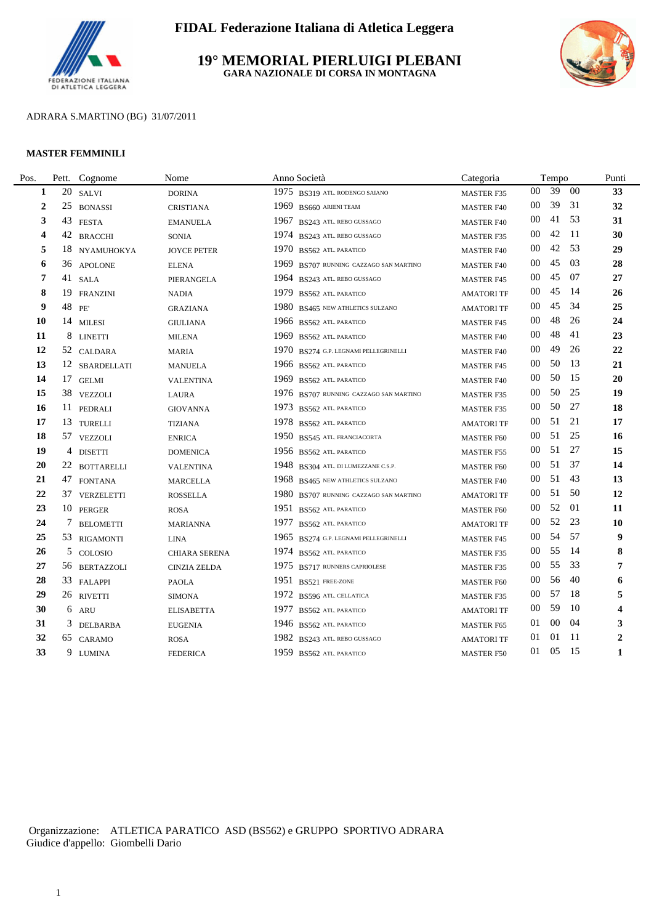

### **19° MEMORIAL PIERLUIGI PLEBANI GARA NAZIONALE DI CORSA IN MONTAGNA**



### ADRARA S.MARTINO (BG) 31/07/2011

#### **MASTER FEMMINILI**

| Pos.                    |    | Pett. Cognome    | Nome                | Anno Società                           | Categoria         |        | Tempo           |        | Punti                   |
|-------------------------|----|------------------|---------------------|----------------------------------------|-------------------|--------|-----------------|--------|-------------------------|
| 1                       | 20 | <b>SALVI</b>     | <b>DORINA</b>       | 1975 BS319 ATL. RODENGO SAIANO         | <b>MASTER F35</b> | $00\,$ | 39              | $00\,$ | 33                      |
| 2                       |    | 25 BONASSI       | <b>CRISTIANA</b>    | 1969 BS660 ARIENI TEAM                 | <b>MASTER F40</b> | $00\,$ | 39              | 31     | 32                      |
| 3                       |    | 43 FESTA         | <b>EMANUELA</b>     | 1967 BS243 ATL. REBO GUSSAGO           | <b>MASTER F40</b> | 00     | 41              | 53     | 31                      |
| $\overline{\mathbf{4}}$ |    | 42 BRACCHI       | <b>SONIA</b>        | 1974 BS243 ATL. REBO GUSSAGO           | <b>MASTER F35</b> | $00\,$ | 42              | -11    | 30                      |
| 5                       |    | 18 NYAMUHOKYA    | <b>JOYCE PETER</b>  | 1970 BS562 ATL. PARATICO               | MASTER F40        | 00     | 42              | - 53   | 29                      |
| 6                       |    | 36 APOLONE       | <b>ELENA</b>        | 1969 BS707 RUNNING CAZZAGO SAN MARTINO | <b>MASTER F40</b> | 00     | 45              | 03     | 28                      |
| 7                       |    | 41 SALA          | PIERANGELA          | 1964 BS243 ATL. REBO GUSSAGO           | <b>MASTER F45</b> | $00\,$ | 45              | 07     | 27                      |
| 8                       |    | 19 FRANZINI      | <b>NADIA</b>        | 1979 BS562 ATL. PARATICO               | <b>AMATORI TF</b> | 00     | 45              | -14    | 26                      |
| 9                       |    | 48 PE            | <b>GRAZIANA</b>     | 1980 BS465 NEW ATHLETICS SULZANO       | <b>AMATORI TF</b> | $00\,$ | 45              | 34     | 25                      |
| 10                      |    | 14 MILESI        | <b>GIULIANA</b>     | 1966 BS562 ATL PARATICO                | <b>MASTER F45</b> | 00     | 48              | 26     | 24                      |
| 11                      |    | 8 LINETTI        | <b>MILENA</b>       | 1969 BS562 ATL. PARATICO               | <b>MASTER F40</b> | $00\,$ | 48              | 41     | 23                      |
| 12                      |    | 52 CALDARA       | <b>MARIA</b>        | 1970 BS274 G.P. LEGNAMI PELLEGRINELLI  | <b>MASTER F40</b> | $00\,$ | 49              | 26     | 22                      |
| 13                      |    | 12 SBARDELLATI   | <b>MANUELA</b>      | 1966 BS562 ATL PARATICO                | <b>MASTER F45</b> | 00     | 50              | 13     | 21                      |
| 14                      |    | 17 GELMI         | <b>VALENTINA</b>    | 1969 BS562 ATL. PARATICO               | <b>MASTER F40</b> | $00\,$ | 50              | -15    | 20                      |
| 15                      |    | 38 VEZZOLI       | <b>LAURA</b>        | 1976 BS707 RUNNING CAZZAGO SAN MARTINO | <b>MASTER F35</b> | 00     | 50              | 25     | 19                      |
| 16                      |    | 11 PEDRALI       | <b>GIOVANNA</b>     | 1973 BS562 ATL. PARATICO               | <b>MASTER F35</b> | 00     | 50              | 27     | 18                      |
| 17                      |    | 13 TURELLI       | <b>TIZIANA</b>      | 1978 BS562 ATL. PARATICO               | <b>AMATORI TF</b> | $00\,$ | 51              | 21     | 17                      |
| 18                      |    | 57 VEZZOLI       | <b>ENRICA</b>       | 1950 BS545 ATL. FRANCIACORTA           | <b>MASTER F60</b> | 00     | 51              | 25     | 16                      |
| 19                      |    | 4 DISETTI        | <b>DOMENICA</b>     | 1956 BS562 ATL. PARATICO               | <b>MASTER F55</b> | $00\,$ | 51              | 27     | 15                      |
| 20                      |    | 22 BOTTARELLI    | <b>VALENTINA</b>    | 1948 BS304 ATL. DI LUMEZZANE C.S.P.    | <b>MASTER F60</b> | 00     | 51              | 37     | 14                      |
| 21                      |    | 47 FONTANA       | <b>MARCELLA</b>     | 1968 BS465 NEW ATHLETICS SULZANO       | <b>MASTER F40</b> | $00\,$ | 51              | 43     | 13                      |
| 22                      |    | 37 VERZELETTI    | <b>ROSSELLA</b>     | 1980 BS707 RUNNING CAZZAGO SAN MARTINO | <b>AMATORI TF</b> | 00     | 51              | 50     | 12                      |
| 23                      |    | 10 PERGER        | <b>ROSA</b>         | 1951 BS562 ATL PARATICO                | <b>MASTER F60</b> | 00     | 52              | 01     | 11                      |
| 24                      | 7  | <b>BELOMETTI</b> | <b>MARIANNA</b>     | 1977<br>BS562 ATL PARATICO             | <b>AMATORI TF</b> | $00\,$ | 52              | 23     | 10                      |
| 25                      |    | 53 RIGAMONTI     | <b>LINA</b>         | 1965 BS274 G.P. LEGNAMI PELLEGRINELLI  | <b>MASTER F45</b> | 00     | 54 57           |        | 9                       |
| 26                      |    | 5 COLOSIO        | CHIARA SERENA       | 1974 BS562 ATL PARATICO                | <b>MASTER F35</b> | 00     | 55              | -14    | 8                       |
| 27                      |    | 56 BERTAZZOLI    | <b>CINZIA ZELDA</b> | 1975 BS717 RUNNERS CAPRIOLESE          | <b>MASTER F35</b> | $00\,$ | 55              | 33     | 7                       |
| 28                      |    | 33 FALAPPI       | <b>PAOLA</b>        | 1951 BS521 FREE-ZONE                   | <b>MASTER F60</b> | $00\,$ | 56              | -40    | 6                       |
| 29                      |    | 26 RIVETTI       | <b>SIMONA</b>       | 1972 BS596 ATL. CELLATICA              | <b>MASTER F35</b> | $00\,$ | 57              | - 18   | 5                       |
| 30                      |    | 6 ARU            | <b>ELISABETTA</b>   | 1977 BS562 ATL PARATICO                | <b>AMATORI TF</b> | 00     | 59              | 10     | $\overline{\mathbf{4}}$ |
| 31                      |    | 3 DELBARBA       | <b>EUGENIA</b>      | 1946 BS562 ATL PARATICO                | <b>MASTER F65</b> | 01     | 00 <sup>1</sup> | 04     | 3                       |
| 32                      |    | 65 CARAMO        | <b>ROSA</b>         | 1982 BS243 ATL. REBO GUSSAGO           | <b>AMATORI TF</b> | 01     | 01              | -11    | $\overline{2}$          |
| 33                      |    | 9 LUMINA         | <b>FEDERICA</b>     | 1959 BS562 ATL. PARATICO               | <b>MASTER F50</b> | 01     | 05              | 15     | $\mathbf{1}$            |
|                         |    |                  |                     |                                        |                   |        |                 |        |                         |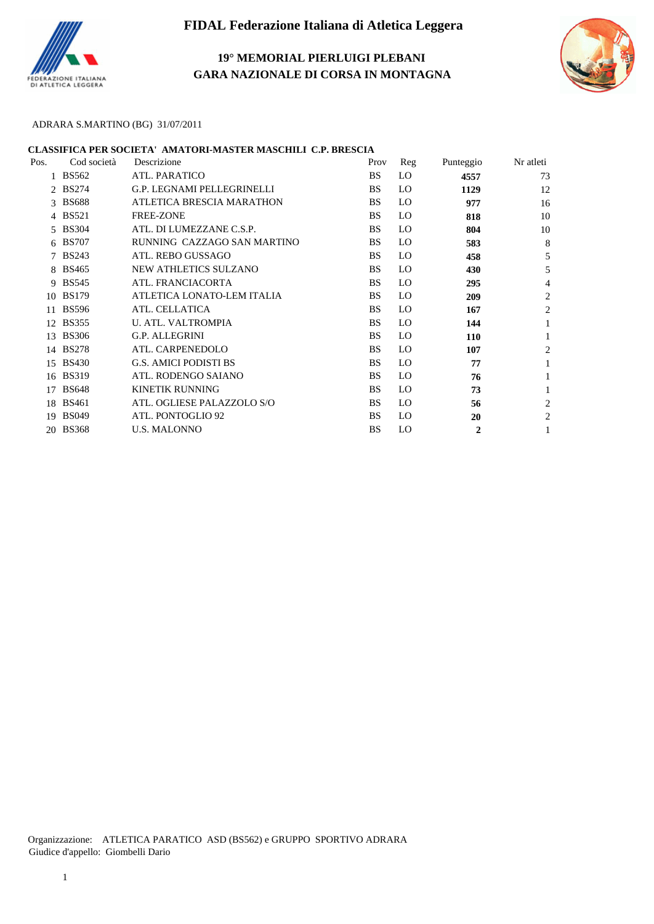

# **19° MEMORIAL PIERLUIGI PLEBANI GARA NAZIONALE DI CORSA IN MONTAGNA**



### ADRARA S.MARTINO (BG) 31/07/2011

### **CLASSIFICA PER SOCIETA' AMATORI-MASTER MASCHILI C.P. BRESCIA**

| Cod società | Descrizione                                                                                                                                                                                                                       | Prov      | Reg | Punteggio      | Nr atleti      |  |
|-------------|-----------------------------------------------------------------------------------------------------------------------------------------------------------------------------------------------------------------------------------|-----------|-----|----------------|----------------|--|
|             | ATL. PARATICO                                                                                                                                                                                                                     | <b>BS</b> | LO  | 4557           | 73             |  |
|             | G.P. LEGNAMI PELLEGRINELLI                                                                                                                                                                                                        | <b>BS</b> | LO  | 1129           | 12             |  |
|             | ATLETICA BRESCIA MARATHON                                                                                                                                                                                                         | <b>BS</b> | LO  | 977            | 16             |  |
|             | <b>FREE-ZONE</b>                                                                                                                                                                                                                  | <b>BS</b> | LO  | 818            | 10             |  |
|             | ATL. DI LUMEZZANE C.S.P.                                                                                                                                                                                                          | <b>BS</b> | LO  | 804            | 10             |  |
|             | RUNNING CAZZAGO SAN MARTINO                                                                                                                                                                                                       | <b>BS</b> | LO  | 583            | 8              |  |
|             | ATL. REBO GUSSAGO                                                                                                                                                                                                                 | <b>BS</b> | LO  | 458            | 5              |  |
|             | NEW ATHLETICS SULZANO                                                                                                                                                                                                             | <b>BS</b> | LO  | 430            | 5              |  |
|             | ATL. FRANCIACORTA                                                                                                                                                                                                                 | <b>BS</b> | LO  | 295            | 4              |  |
|             | ATLETICA LONATO-LEM ITALIA                                                                                                                                                                                                        | <b>BS</b> | LO  | 209            | 2              |  |
|             | ATL. CELLATICA                                                                                                                                                                                                                    | <b>BS</b> | LO. | 167            | $\overline{c}$ |  |
|             | <b>U. ATL. VALTROMPIA</b>                                                                                                                                                                                                         | <b>BS</b> | LO  | 144            |                |  |
|             | G.P. ALLEGRINI                                                                                                                                                                                                                    | <b>BS</b> | LO  | 110            |                |  |
|             | ATL. CARPENEDOLO                                                                                                                                                                                                                  | <b>BS</b> | LO  | 107            | 2              |  |
|             | <b>G.S. AMICI PODISTI BS</b>                                                                                                                                                                                                      | <b>BS</b> | LO  | 77             |                |  |
|             | ATL. RODENGO SAIANO                                                                                                                                                                                                               | <b>BS</b> | LO  | 76             |                |  |
|             | <b>KINETIK RUNNING</b>                                                                                                                                                                                                            | <b>BS</b> | LO. | 73             |                |  |
|             | ATL. OGLIESE PALAZZOLO S/O                                                                                                                                                                                                        | <b>BS</b> | LO  | 56             | $\overline{c}$ |  |
|             | ATL. PONTOGLIO 92                                                                                                                                                                                                                 | <b>BS</b> | LO  | 20             | 2              |  |
|             | <b>U.S. MALONNO</b>                                                                                                                                                                                                               | <b>BS</b> | LO  | $\overline{2}$ |                |  |
|             | 1 BS562<br>2 BS274<br>3 BS688<br>4 BS521<br>5 BS304<br>6 BS707<br>7 BS243<br>BS465<br>9 BS545<br>10 BS179<br>11 BS596<br>12 BS355<br>13 BS306<br>14 BS278<br>15 BS430<br>16 BS319<br>17 BS648<br>18 BS461<br>19 BS049<br>20 BS368 |           |     |                |                |  |